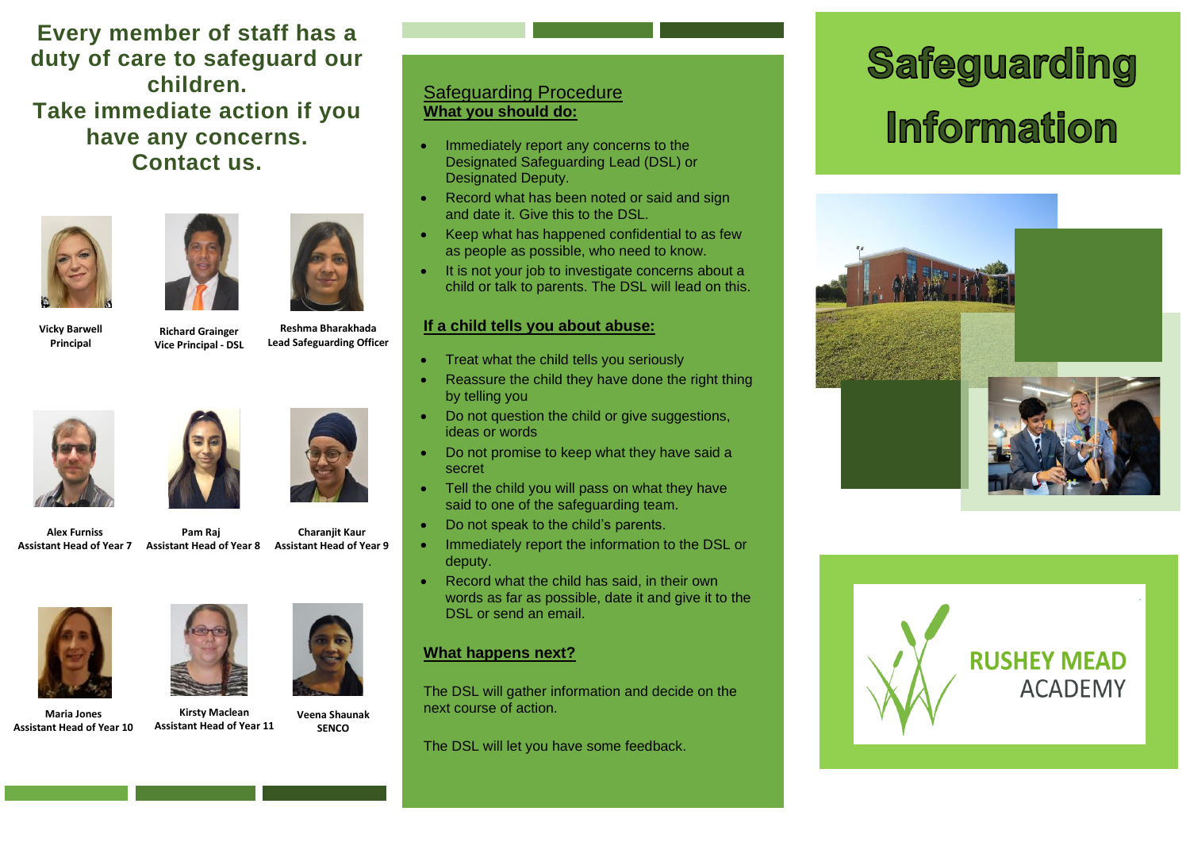**Every member of staff has a duty of care to safeguard our children. Take immediate action if you have any concerns. Contact us.** 





 **Pam Raj** 



**Vicky Barwell Principal**

 **Reshma Bharakhada Lead Safeguarding Officer Richard Grainger Vice Principal - DSL**



**Alex Furniss Assistant Head of Year 7**

**Assistant Head of Year 8 Assistant Head of Year 9 Charanjit Kaur**



**Maria Jones Assistant Head of Year 10**



**Kirsty Maclean Assistant Head of Year 11**

**Veena Shaunak SENCO** 

### Safeguarding Procedure **What you should do:**

- Immediately report any concerns to the Designated Safeguarding Lead (DSL) or Designated Deputy.
- Record what has been noted or said and sign and date it. Give this to the DSL.
- Keep what has happened confidential to as few as people as possible, who need to know.
- It is not your job to investigate concerns about a child or talk to parents. The DSL will lead on this.

#### **If a child tells you about abuse:**

- Treat what the child tells you seriously
- Reassure the child they have done the right thing by telling you
- Do not question the child or give suggestions, ideas or words
- Do not promise to keep what they have said a secret
- Tell the child you will pass on what they have said to one of the safeguarding team.
- Do not speak to the child's parents.
- Immediately report the information to the DSL or deputy.
- Record what the child has said, in their own words as far as possible, date it and give it to the DSL or send an email.

#### **What happens next?**

The DSL will gather information and decide on the next course of action.

The DSL will let you have some feedback.

# Safeguarding **Information**